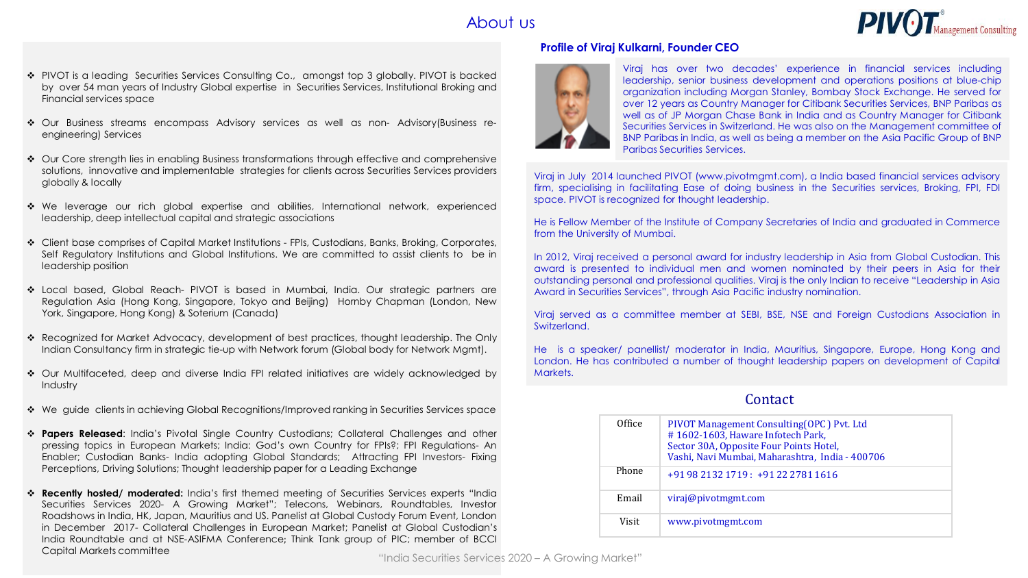# About us



- ❖ PIVOT is a leading Securities Services Consulting Co., amongst top 3 globally. PIVOT is backed by over 54 man years of Industry Global expertise in Securities Services, Institutional Broking and Financial services space
- ❖ Our Business streams encompass Advisory services as well as non- Advisory(Business reengineering) Services
- ❖ Our Core strength lies in enabling Business transformations through effective and comprehensive solutions, innovative and implementable strategies for clients across Securities Services providers globally & locally
- ❖ We leverage our rich global expertise and abilities, International network, experienced leadership, deep intellectual capital and strategic associations
- ❖ Client base comprises of Capital Market Institutions FPIs, Custodians, Banks, Broking, Corporates, Self Regulatory Institutions and Global Institutions. We are committed to assist clients to be in leadership position
- ❖ Local based, Global Reach- PIVOT is based in Mumbai, India. Our strategic partners are Regulation Asia (Hong Kong, Singapore, Tokyo and Beijing) Hornby Chapman (London, New York, Singapore, Hong Kong) & Soterium (Canada)
- ❖ Recognized for Market Advocacy, development of best practices, thought leadership. The Only Indian Consultancy firm in strategic tie-up with Network forum (Global body for Network Mgmt).
- ❖ Our Multifaceted, deep and diverse India FPI related initiatives are widely acknowledged by Industry
- ❖ We guide clients in achieving Global Recognitions/Improved ranking in Securities Services space
- ❖ **Papers Released**: India's Pivotal Single Country Custodians; Collateral Challenges and other pressing topics in European Markets; India: God's own Country for FPIs?; FPI Regulations- An Enabler; Custodian Banks- India adopting Global Standards; Attracting FPI Investors- Fixing Perceptions, Driving Solutions; Thought leadership paper for a Leading Exchange
- ❖ **Recently hosted/ moderated:** India's first themed meeting of Securities Services experts "India Securities Services 2020- A Growing Market"; Telecons, Webinars, Roundtables, Investor Roadshows in India, HK, Japan, Mauritius and US. Panelist at Global Custody Forum Event, London in December 2017- Collateral Challenges in European Market; Panelist at Global Custodian's India Roundtable and at NSE-ASIFMA Conference; Think Tank group of PIC; member of BCCI Capital Markets committee

#### **Profile of Viraj Kulkarni, Founder CEO**



Viraj has over two decades' experience in financial services including leadership, senior business development and operations positions at blue-chip organization including Morgan Stanley, Bombay Stock Exchange. He served for over 12 years as Country Manager for Citibank Securities Services, BNP Paribas as well as of JP Morgan Chase Bank in India and as Country Manager for Citibank Securities Services in Switzerland. He was also on the Management committee of BNP Paribas in India, as well as being a member on the Asia Pacific Group of BNP Paribas Securities Services.

Viraj in July 2014 launched PIVOT (www.pivotmgmt.com), a India based financial services advisory firm, specialising in facilitating Ease of doing business in the Securities services, Broking, FPI, FDI space. PIVOT is recognized for thought leadership.

He is Fellow Member of the Institute of Company Secretaries of India and graduated in Commerce from the University of Mumbai.

In 2012, Viraj received a personal award for industry leadership in Asia from Global Custodian. This award is presented to individual men and women nominated by their peers in Asia for their outstanding personal and professional qualities. Viraj is the only Indian to receive "Leadership in Asia Award in Securities Services", through Asia Pacific industry nomination.

Viraj served as a committee member at SEBI, BSE, NSE and Foreign Custodians Association in Switzerland.

He is a speaker/ panellist/ moderator in India, Mauritius, Singapore, Europe, Hong Kong and London. He has contributed a number of thought leadership papers on development of Capital Markets.

# Contact

| Office | PIVOT Management Consulting (OPC) Pvt. Ltd<br>#1602-1603, Haware Infotech Park,<br>Sector 30A, Opposite Four Points Hotel,<br>Vashi, Navi Mumbai, Maharashtra, India - 400706 |
|--------|-------------------------------------------------------------------------------------------------------------------------------------------------------------------------------|
| Phone  | +91 98 2132 1719 : +91 22 2781 1616                                                                                                                                           |
| Email  | viraj@pivotmgmt.com                                                                                                                                                           |
| Visit  | www.pivotmgmt.com                                                                                                                                                             |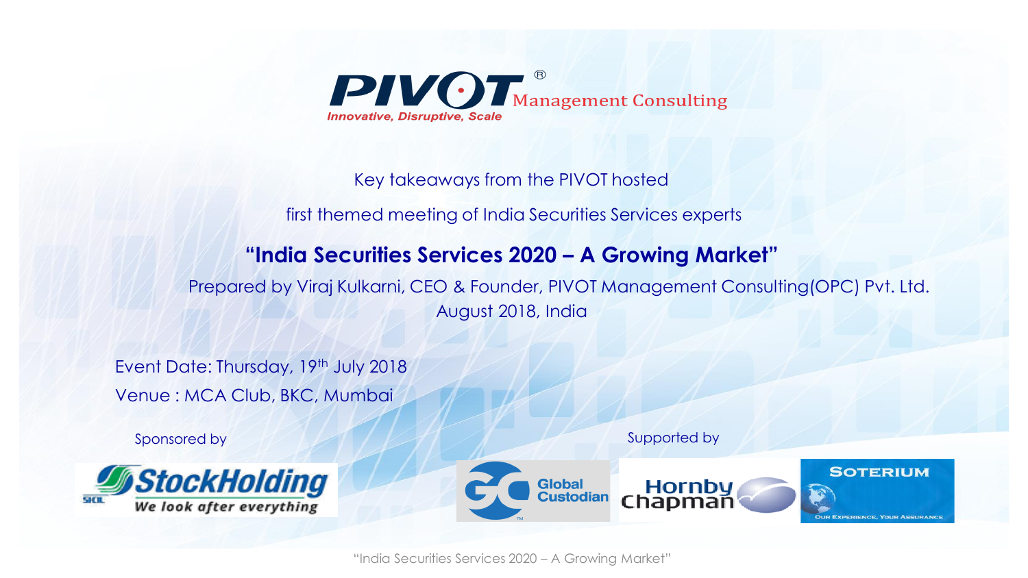

# Key takeaways from the PIVOT hosted

first themed meeting of India Securities Services experts

# **"India Securities Services 2020 – A Growing Market"**

Prepared by Viraj Kulkarni, CEO & Founder, PIVOT Management Consulting(OPC) Pvt. Ltd. August 2018, India

Event Date: Thursday, 19th July 2018 Venue : MCA Club, BKC, Mumbai



Sponsored by Supported by Supported by



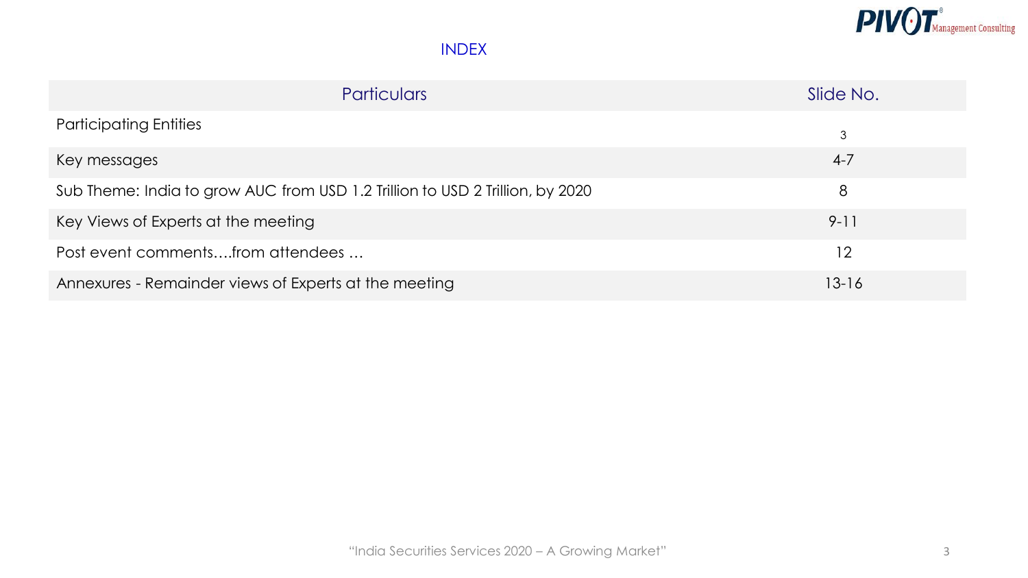

| <b>Particulars</b>                                                            | Slide No. |
|-------------------------------------------------------------------------------|-----------|
| <b>Participating Entities</b>                                                 | 3         |
| Key messages                                                                  | $4 - 7$   |
| Sub Theme: India to grow AUC from USD 1.2 Trillion to USD 2 Trillion, by 2020 | 8         |
| Key Views of Experts at the meeting                                           | $9 - 11$  |
| Post event commentsfrom attendees                                             | 12        |
| Annexures - Remainder views of Experts at the meeting                         | $13 - 16$ |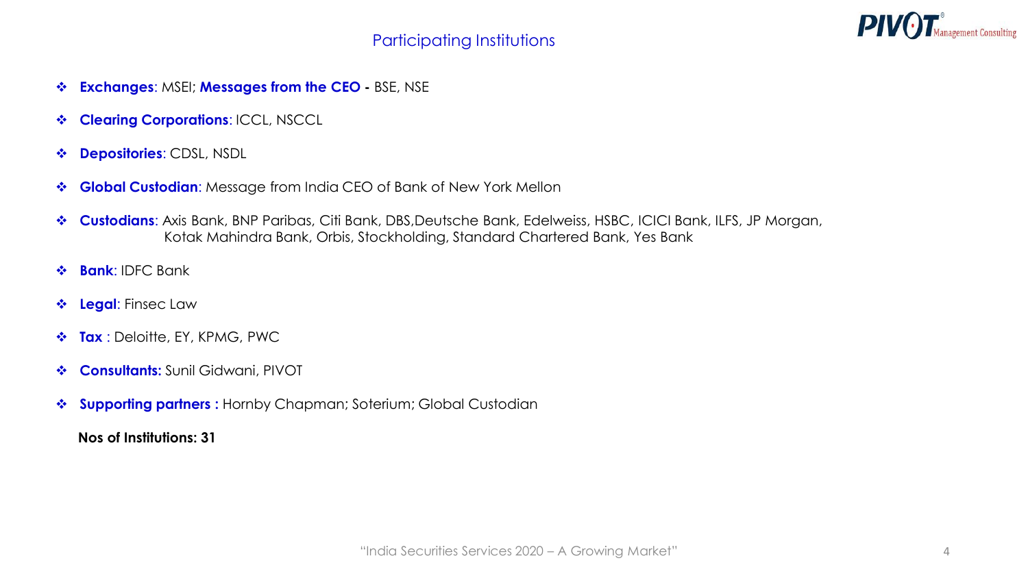

- ❖ **Exchanges**: MSEI; **Messages from the CEO -** BSE, NSE
- ❖ **Clearing Corporations**: ICCL, NSCCL
- ❖ **Depositories**: CDSL, NSDL
- ❖ **Global Custodian**: Message from India CEO of Bank of New York Mellon
- ❖ **Custodians**: Axis Bank, BNP Paribas, Citi Bank, DBS,Deutsche Bank, Edelweiss, HSBC, ICICI Bank, ILFS, JP Morgan, Kotak Mahindra Bank, Orbis, Stockholding, Standard Chartered Bank, Yes Bank
- ❖ **Bank**: IDFC Bank
- ❖ **Legal**: Finsec Law
- ❖ **Tax** : Deloitte, EY, KPMG, PWC
- ❖ **Consultants:** Sunil Gidwani, PIVOT
- ❖ **Supporting partners :** Hornby Chapman; Soterium; Global Custodian

**Nos of Institutions: 31**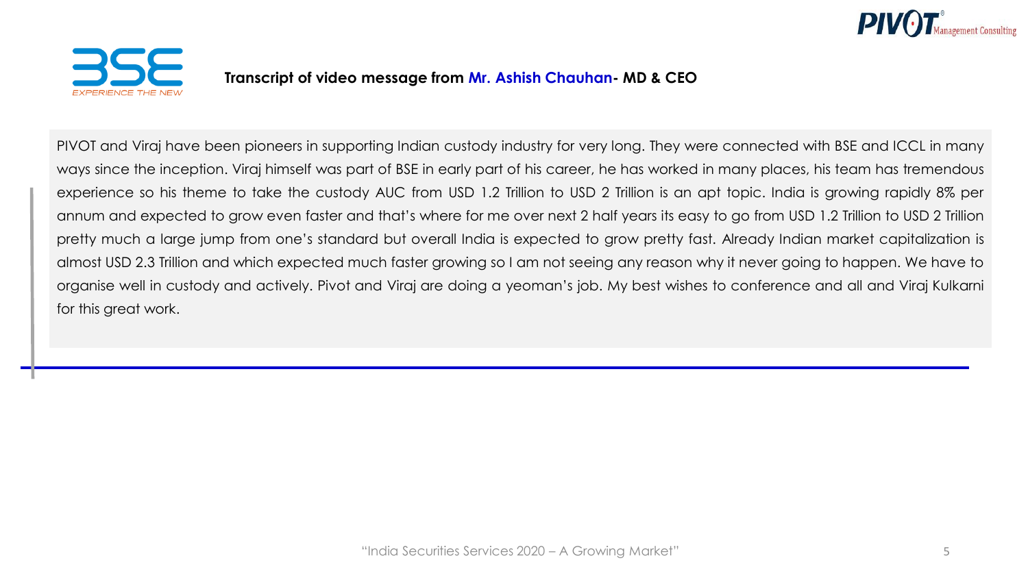



# **Transcript of video message from Mr. Ashish Chauhan- MD & CEO**

PIVOT and Viraj have been pioneers in supporting Indian custody industry for very long. They were connected with BSE and ICCL in many ways since the inception. Viraj himself was part of BSE in early part of his career, he has worked in many places, his team has tremendous experience so his theme to take the custody AUC from USD 1.2 Trillion to USD 2 Trillion is an apt topic. India is growing rapidly 8% per annum and expected to grow even faster and that's where for me over next 2 half years its easy to go from USD 1.2 Trillion to USD 2 Trillion pretty much a large jump from one's standard but overall India is expected to grow pretty fast. Already Indian market capitalization is almost USD 2.3 Trillion and which expected much faster growing so I am not seeing any reason why it never going to happen. We have to organise well in custody and actively. Pivot and Viraj are doing a yeoman's job. My best wishes to conference and all and Viraj Kulkarni for this great work.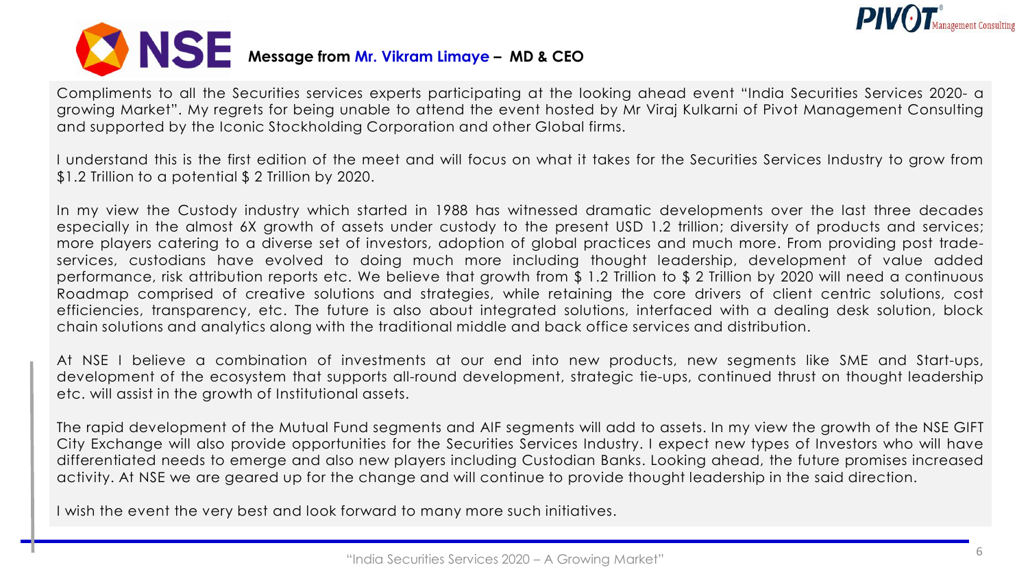



Compliments to all the Securities services experts participating at the looking ahead event "India Securities Services 2020- a growing Market". My regrets for being unable to attend the event hosted by Mr Viraj Kulkarni of Pivot Management Consulting and supported by the Iconic Stockholding Corporation and other Global firms.

I understand this is the first edition of the meet and will focus on what it takes for the Securities Services Industry to grow from \$1.2 Trillion to a potential \$ 2 Trillion by 2020.

In my view the Custody industry which started in 1988 has witnessed dramatic developments over the last three decades especially in the almost 6X growth of assets under custody to the present USD 1.2 trillion; diversity of products and services; more players catering to a diverse set of investors, adoption of global practices and much more. From providing post tradeservices, custodians have evolved to doing much more including thought leadership, development of value added performance, risk attribution reports etc. We believe that growth from \$ 1.2 Trillion to \$ 2 Trillion by 2020 will need a continuous Roadmap comprised of creative solutions and strategies, while retaining the core drivers of client centric solutions, cost efficiencies, transparency, etc. The future is also about integrated solutions, interfaced with a dealing desk solution, block chain solutions and analytics along with the traditional middle and back office services and distribution.

At NSE I believe a combination of investments at our end into new products, new segments like SME and Start-ups, development of the ecosystem that supports all-round development, strategic tie-ups, continued thrust on thought leadership etc. will assist in the growth of Institutional assets.

The rapid development of the Mutual Fund segments and AIF segments will add to assets. In my view the growth of the NSE GIFT City Exchange will also provide opportunities for the Securities Services Industry. I expect new types of Investors who will have differentiated needs to emerge and also new players including Custodian Banks. Looking ahead, the future promises increased activity. At NSE we are geared up for the change and will continue to provide thought leadership in the said direction.

I wish the event the very best and look forward to many more such initiatives.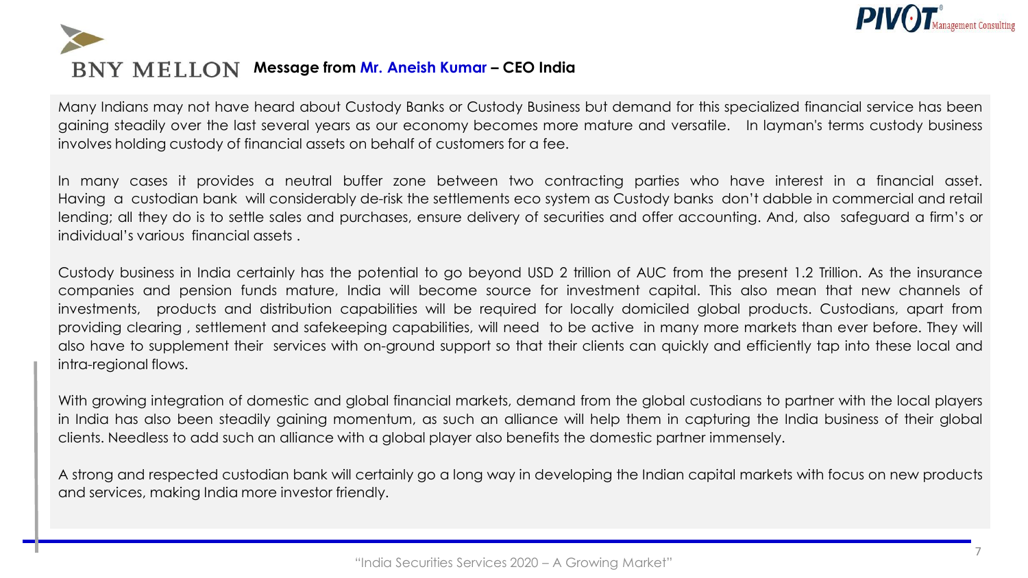

# **BNY MELLON Message from Mr. Aneish Kumar - CEO India**

Many Indians may not have heard about Custody Banks or Custody Business but demand for this specialized financial service has been gaining steadily over the last several years as our economy becomes more mature and versatile. In layman's terms custody business involves holding custody of financial assets on behalf of customers for a fee.

In many cases it provides a neutral buffer zone between two contracting parties who have interest in a financial asset. Having a custodian bank will considerably de-risk the settlements eco system as Custody banks don't dabble in commercial and retail lending; all they do is to settle sales and purchases, ensure delivery of securities and offer accounting. And, also safeguard a firm's or individual's various financial assets .

Custody business in India certainly has the potential to go beyond USD 2 trillion of AUC from the present 1.2 Trillion. As the insurance companies and pension funds mature, India will become source for investment capital. This also mean that new channels of investments, products and distribution capabilities will be required for locally domiciled global products. Custodians, apart from providing clearing , settlement and safekeeping capabilities, will need to be active in many more markets than ever before. They will also have to supplement their services with on-ground support so that their clients can quickly and efficiently tap into these local and intra-regional flows.

With growing integration of domestic and global financial markets, demand from the global custodians to partner with the local players in India has also been steadily gaining momentum, as such an alliance will help them in capturing the India business of their global clients. Needless to add such an alliance with a global player also benefits the domestic partner immensely.

A strong and respected custodian bank will certainly go a long way in developing the Indian capital markets with focus on new products and services, making India more investor friendly.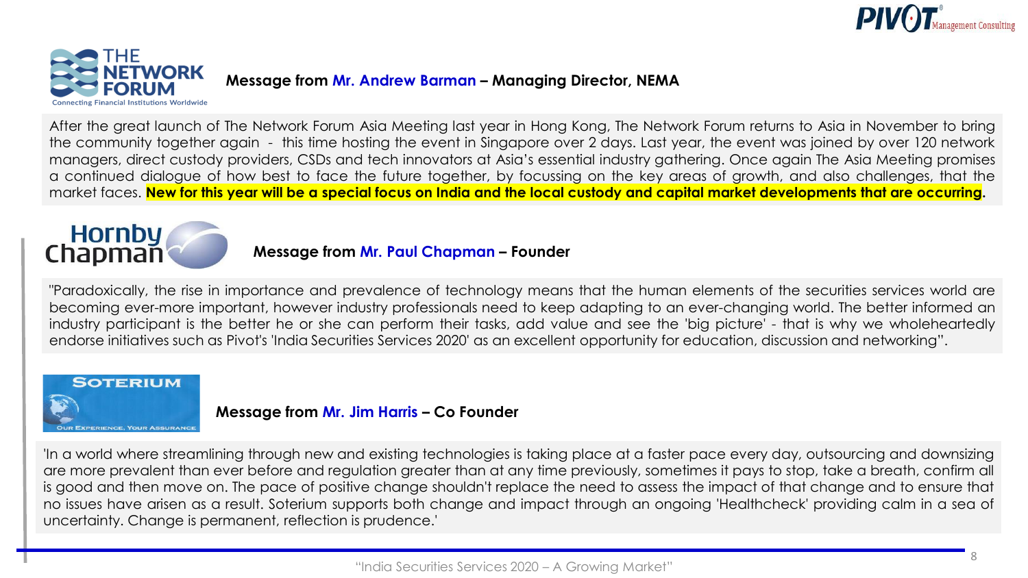



After the great launch of The Network Forum Asia Meeting last year in Hong Kong, The Network Forum returns to Asia in November to bring the community together again - this time hosting the event in Singapore over 2 days. Last year, the event was joined by over 120 network managers, direct custody providers, CSDs and tech innovators at Asia's essential industry gathering. Once again The Asia Meeting promises a continued dialogue of how best to face the future together, by focussing on the key areas of growth, and also challenges, that the market faces. New for this year will be a special focus on India and the local custody and capital market developments that are occurring.

# Hornby<br>Chapman

# **Message from Mr. Paul Chapman – Founder**

"Paradoxically, the rise in importance and prevalence of technology means that the human elements of the securities services world are becoming ever-more important, however industry professionals need to keep adapting to an ever-changing world. The better informed an industry participant is the better he or she can perform their tasks, add value and see the 'big picture' - that is why we wholeheartedly endorse initiatives such as Pivot's 'India Securities Services 2020' as an excellent opportunity for education, discussion and networking".



# **Message from Mr. Jim Harris – Co Founder**

'In a world where streamlining through new and existing technologies is taking place at a faster pace every day, outsourcing and downsizing are more prevalent than ever before and regulation greater than at any time previously, sometimes it pays to stop, take a breath, confirm all is good and then move on. The pace of positive change shouldn't replace the need to assess the impact of that change and to ensure that no issues have arisen as a result. Soterium supports both change and impact through an ongoing 'Healthcheck' providing calm in a sea of uncertainty. Change is permanent, reflection is prudence.'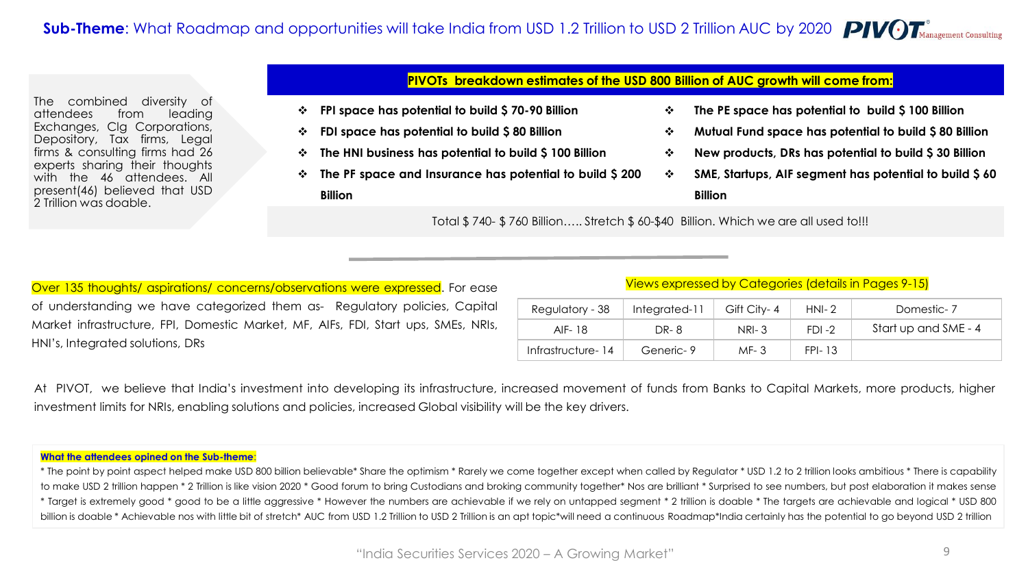The combined diversity of attendees from leading Exchanges, Clg Corporations, Depository, Tax firms, Legal firms & consulting firms had 26 experts sharing their thoughts with the 46 attendees. All present(46) believed that USD 2 Trillion was doable.

## **PIVOTs breakdown estimates of the USD 800 Billion of AUC growth will come from:**

- ❖ **FPI space has potential to build \$ 70-90 Billion**
- ❖ **FDI space has potential to build \$ 80 Billion**
- ❖ **The HNI business has potential to build \$ 100 Billion**
- ❖ **The PF space and Insurance has potential to build \$ 200**

**Billion**

- ❖ **The PE space has potential to build \$ 100 Billion**
- ❖ **Mutual Fund space has potential to build \$ 80 Billion**
- ❖ **New products, DRs has potential to build \$ 30 Billion**
- ❖ **SME, Startups, AIF segment has potential to build \$ 60**

**Billion**

Total \$ 740- \$ 760 Billion….. Stretch \$ 60-\$40 Billion. Which we are all used to!!!

Over 135 thoughts/ aspirations/ concerns/observations were expressed. For ease of understanding we have categorized them as- Regulatory policies, Capital Market infrastructure, FPI, Domestic Market, MF, AIFs, FDI, Start ups, SMEs, NRIs, HNI's, Integrated solutions, DRs

#### Views expressed by Categories (details in Pages 9-15)

| Regulatory - 38   | Integrated-11 | Gift City-4  | $HNI-2$   | Domestic-7           |
|-------------------|---------------|--------------|-----------|----------------------|
| AIF- 18           | DR-8          | <b>NRI-3</b> | $FDI - 2$ | Start up and SME - 4 |
| Infrastructure-14 | Generic-9     | $MF-3$       | FPI-13    |                      |

At PIVOT, we believe that India's investment into developing its infrastructure, increased movement of funds from Banks to Capital Markets, more products, higher investment limits for NRIs, enabling solutions and policies, increased Global visibility will be the key drivers.

#### **What the attendees opined on the Sub-theme**:

\* The point by point aspect helped make USD 800 billion believable\* Share the optimism \* Rarely we come together except when called by Regulator \* USD 1.2 to 2 trillion looks ambitious \* There is capability to make USD 2 trillion happen \* 2 Trillion is like vision 2020 \* Good forum to bring Custodians and broking community together\* Nos are brilliant \* Surprised to see numbers, but post elaboration it makes sense \* Target is extremely good \* good to be a little aggressive \* However the numbers are achievable if we rely on untapped segment \* 2 trillion is doable \* The targets are achievable and logical \* USD 800 billion is doable \* Achievable nos with little bit of stretch\* AUC from USD 1.2 Trillion to USD 2 Trillion is an apt topic\*will need a continuous Roadmap\*India certainly has the potential to go beyond USD 2 trillion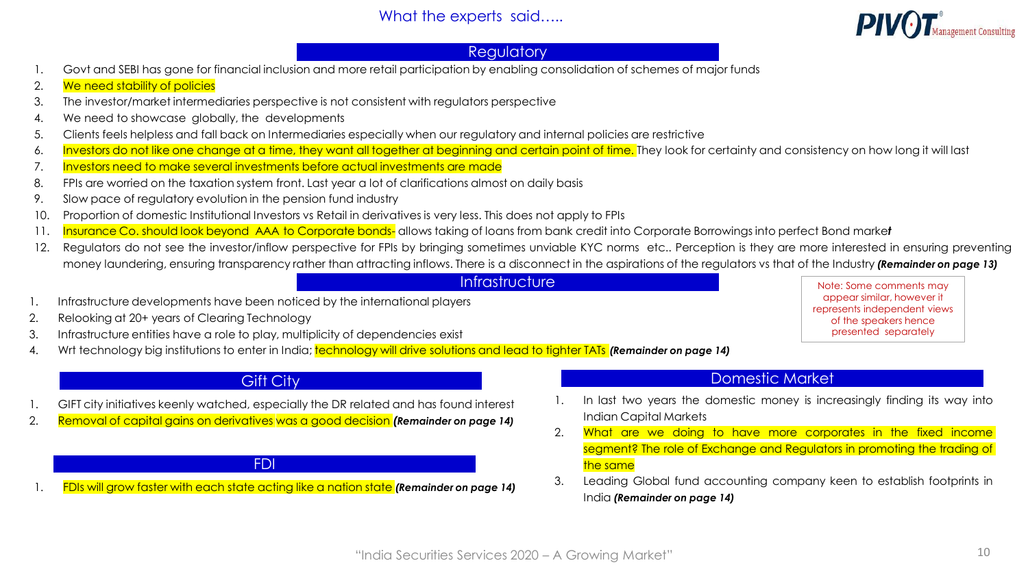

# **Regulatory**

- 1. Govt and SEBI has gone for financial inclusion and more retail participation by enabling consolidation of schemes of major funds
- 2. We need stability of policies
- 3. The investor/market intermediaries perspective is not consistent with regulators perspective
- 4. We need to showcase globally, the developments
- 5. Clients feels helpless and fall back on Intermediaries especially when our regulatory and internal policies are restrictive
- 6. Investors do not like one change at a time, they want all together at beginning and certain point of time. They look for certainty and consistency on how long it will last
- 7. Investors need to make several investments before actual investments are made
- 8. FPIs are worried on the taxation system front. Last year a lot of clarifications almost on daily basis
- 9. Slow pace of regulatory evolution in the pension fund industry
- 10. Proportion of domestic Institutional Investors vs Retail in derivatives is very less. This does not apply to FPIs
- 11. Insurance Co. should look beyond AAA to Corporate bonds- allows taking of loans from bank credit into Corporate Borrowings into perfect Bond marke*t*
- 12. Regulators do not see the investor/inflow perspective for FPIs by bringing sometimes unviable KYC norms etc.. Perception is they are more interested in ensuring preventing money laundering, ensuring transparency rather than attracting inflows. There is a disconnect in the aspirations of the regulators vs that of the Industry *(Remainder on page 13)*

## **Infrastructure**

- 1. Infrastructure developments have been noticed by the international players
- 2. Relooking at 20+ years of Clearing Technology
- 3. Infrastructure entities have a role to play, multiplicity of dependencies exist
- 4. Wrt technology big institutions to enter in India; technology will drive solutions and lead to tighter TATs *(Remainder on page 14)*

# **Gift City**

- 1. GIFT city initiatives keenly watched, especially the DR related and has found interest
- 2. Removal of capital gains on derivatives was a good decision *(Remainder on page 14)*

#### FDI

1. FDIs will grow faster with each state acting like a nation state *(Remainder on page 14)*

#### appear similar, however it represents independent views of the speakers hence presented separately

Note: Some comments may

## Domestic Market

- In last two years the domestic money is increasingly finding its way into Indian Capital Markets
- 2. What are we doing to have more corporates in the fixed income segment? The role of Exchange and Regulators in promoting the trading of the same
- 3. Leading Global fund accounting company keen to establish footprints in India *(Remainder on page 14)*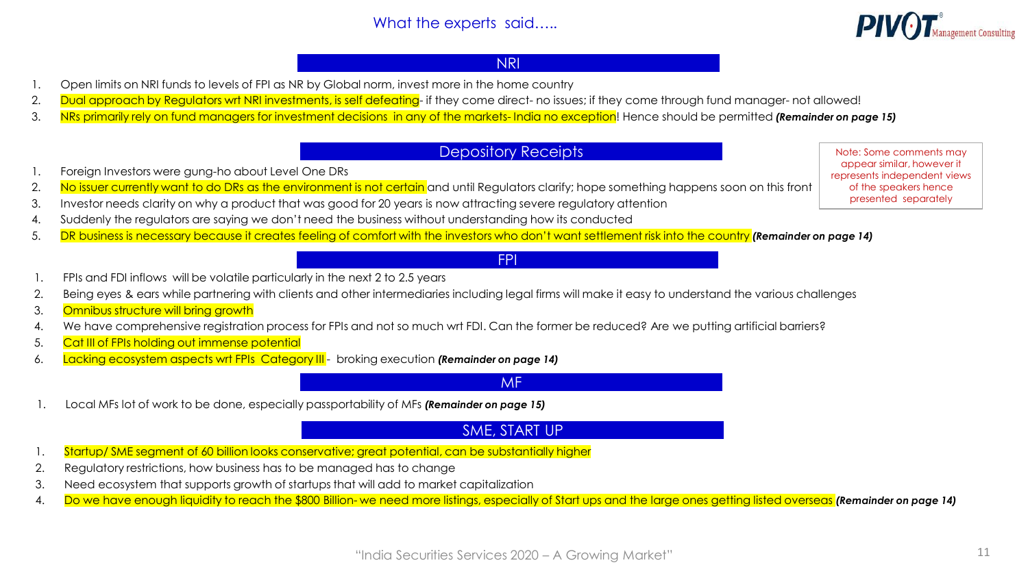

## NRI

- 1. Open limits on NRI funds to levels of FPI as NR by Global norm, invest more in the home country
- 2. Dual approach by Regulators wrt NRI investments, is self defeating- if they come direct- no issues; if they come through fund manager- not allowed!
- 3. NRs primarily rely on fund managers for investment decisions in any of the markets- India no exception! Hence should be permitted *(Remainder on page 15)*

# Depository Receipts

FPI

- 1. Foreign Investors were gung-ho about Level One DRs
- 2. No issuer currently want to do DRs as the environment is not certain and until Regulators clarify; hope something happens soon on this front
- 3. Investor needs clarity on why a product that was good for 20 years is now attracting severe regulatory attention
- 4. Suddenly the regulators are saying we don't need the business without understanding how its conducted
- 5. DR business is necessary because it creates feeling of comfort with the investors who don't want settlement risk into the country *(Remainder on page 14)*
- 1. FPIs and FDI inflows will be volatile particularly in the next 2 to 2.5 years
- 2. Being eyes & ears while partnering with clients and other intermediaries including legal firms will make it easy to understand the various challenges
- 3. Omnibus structure will bring growth
- 4. We have comprehensive registration process for FPIs and not so much wrt FDI. Can the former be reduced? Are we putting artificial barriers?
- 5. Cat III of FPIs holding out immense potential
- 6. Lacking ecosystem aspects wrt FPIs Category III broking execution *(Remainder on page 14)*

represents independent views of the speakers hence presented separately

Note: Some comments may appear similar, however it

#### MF

1. Local MFs lot of work to be done, especially passportability of MFs *(Remainder on page 15)*

# SME, START UP

- 1. Startup/ SME segment of 60 billion looks conservative; great potential, can be substantially higher
- 2. Regulatory restrictions, how business has to be managed has to change
- 3. Need ecosystem that supports growth of startups that will add to market capitalization
- 4. Do we have enough liquidity to reach the \$800 Billion- we need more listings, especially of Start ups and the large ones getting listed overseas *(Remainder on page 14)*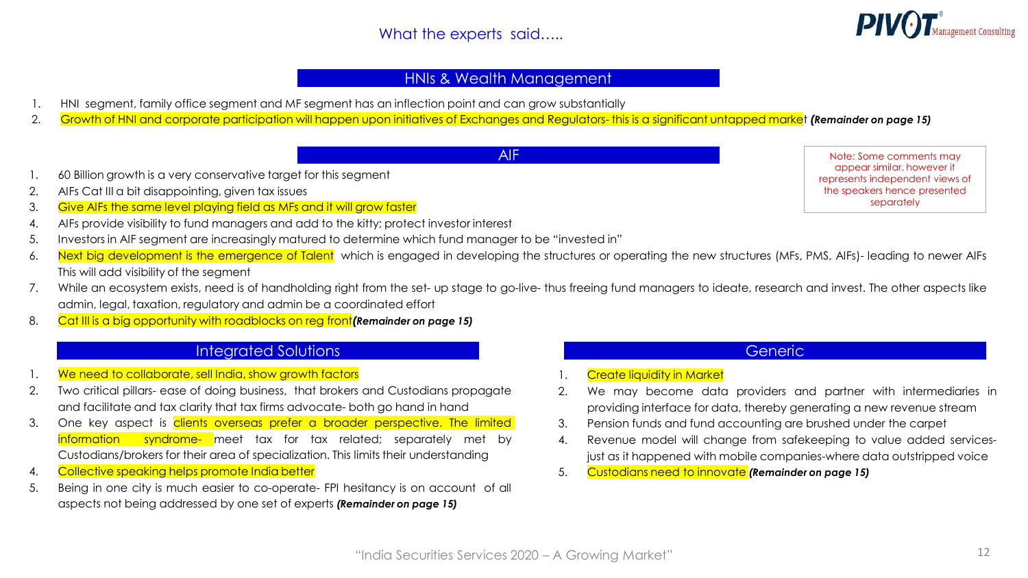

# HNIs & Wealth Management

- 1. HNI segment, family office segment and MF segment has an inflection point and can grow substantially
- 2. Growth of HNI and corporate participation will happen upon initiatives of Exchanges and Regulators- this is a significant untapped market *(Remainder on page 15)*

AIF

- 1. 60 Billion growth is a very conservative target for this segment
- 2. AIFs Cat III a bit disappointing, given tax issues
- 3. Give AIFs the same level playing field as MFs and it will grow faster
- 4. AIFs provide visibility to fund managers and add to the kitty; protect investor interest
- 5. Investors in AIF segment are increasingly matured to determine which fund manager to be "invested in"
- 6. Next big development is the emergence of Talent which is engaged in developing the structures or operating the new structures (MFs, PMS, AIFs)- leading to newer AIFs This will add visibility of the segment
- 7. While an ecosystem exists, need is of handholding right from the set- up stage to go-live- thus freeing fund managers to ideate, research and invest. The other aspects like admin, legal, taxation, regulatory and admin be a coordinated effort
- 8. Cat III is a big opportunity with roadblocks on reg front*(Remainder on page 15)*

# Integrated Solutions

- 1. We need to collaborate, sell India, show growth factors
- 2. Two critical pillars- ease of doing business, that brokers and Custodians propagate and facilitate and tax clarity that tax firms advocate- both go hand in hand
- 3. One key aspect is clients overseas prefer a broader perspective. The limited information syndrome- meet tax for tax related; separately met by Custodians/brokers for their area of specialization. This limits their understanding
- 4. Collective speaking helps promote India better
- 5. Being in one city is much easier to co-operate- FPI hesitancy is on account of all aspects not being addressed by one set of experts *(Remainder on page 15)*

**Generic** 

- **Create liquidity in Market**
- 2. We may become data providers and partner with intermediaries in providing interface for data, thereby generating a new revenue stream
- 3. Pension funds and fund accounting are brushed under the carpet
- 4. Revenue model will change from safekeeping to value added servicesjust as it happened with mobile companies-where data outstripped voice
- 5. Custodians need to innovate *(Remainder on page 15)*

Note: Some comments may appear similar, however it represents independent views of the speakers hence presented separately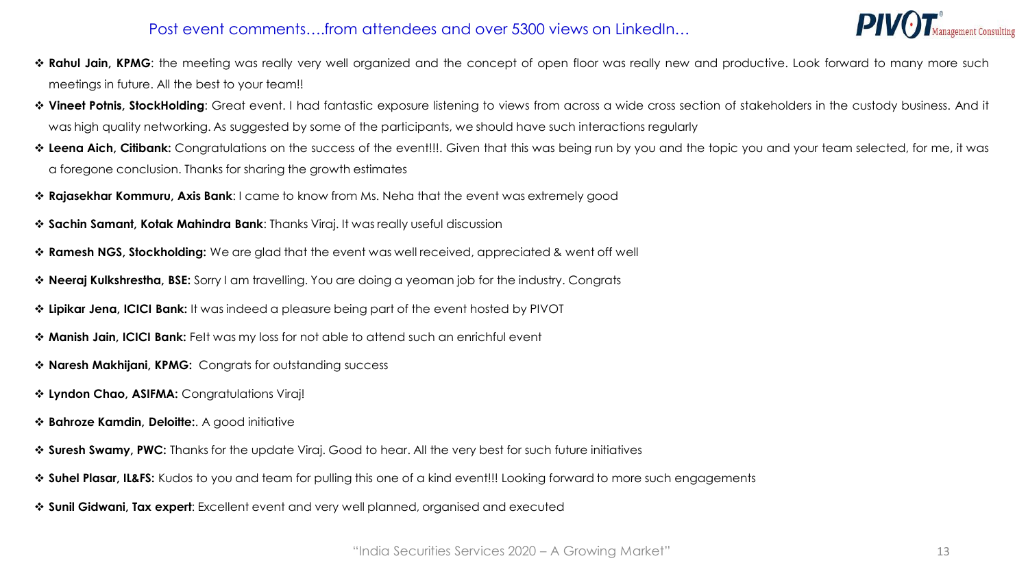# Post event comments….from attendees and over 5300 views on LinkedIn…



- ❖ **Rahul Jain, KPMG**: the meeting was really very well organized and the concept of open floor was really new and productive. Look forward to many more such meetings in future. All the best to your team!!
- ❖ **Vineet Potnis, StockHolding**: Great event. I had fantastic exposure listening to views from across a wide cross section of stakeholders in the custody business. And it was high quality networking. As suggested by some of the participants, we should have such interactions regularly
- ❖ **Leena Aich, Citibank:** Congratulations on the success of the event!!!. Given that this was being run by you and the topic you and your team selected, for me, it was a foregone conclusion. Thanks for sharing the growth estimates
- ❖ **Rajasekhar Kommuru, Axis Bank**: I came to know from Ms. Neha that the event was extremely good
- ❖ **Sachin Samant, Kotak Mahindra Bank**: Thanks Viraj. It was really useful discussion
- ❖ **Ramesh NGS, Stockholding:** We are glad that the event was well received, appreciated & went off well
- ❖ **Neeraj Kulkshrestha, BSE:** Sorry I am travelling. You are doing a yeoman job for the industry. Congrats
- ❖ **Lipikar Jena, ICICI Bank:** It was indeed a pleasure being part of the event hosted by PIVOT
- ❖ **Manish Jain, ICICI Bank:** FeIt was my loss for not able to attend such an enrichful event
- ❖ **Naresh Makhijani, KPMG:** Congrats for outstanding success
- ❖ **Lyndon Chao, ASIFMA:** Congratulations Viraj!
- ❖ **Bahroze Kamdin, Deloitte:**. A good initiative
- ❖ **Suresh Swamy, PWC:** Thanks for the update Viraj. Good to hear. All the very best for such future initiatives
- ❖ **Suhel Plasar, IL&FS:** Kudos to you and team for pulling this one of a kind event!!! Looking forward to more such engagements
- ❖ **Sunil Gidwani, Tax expert**: Excellent event and very well planned, organised and executed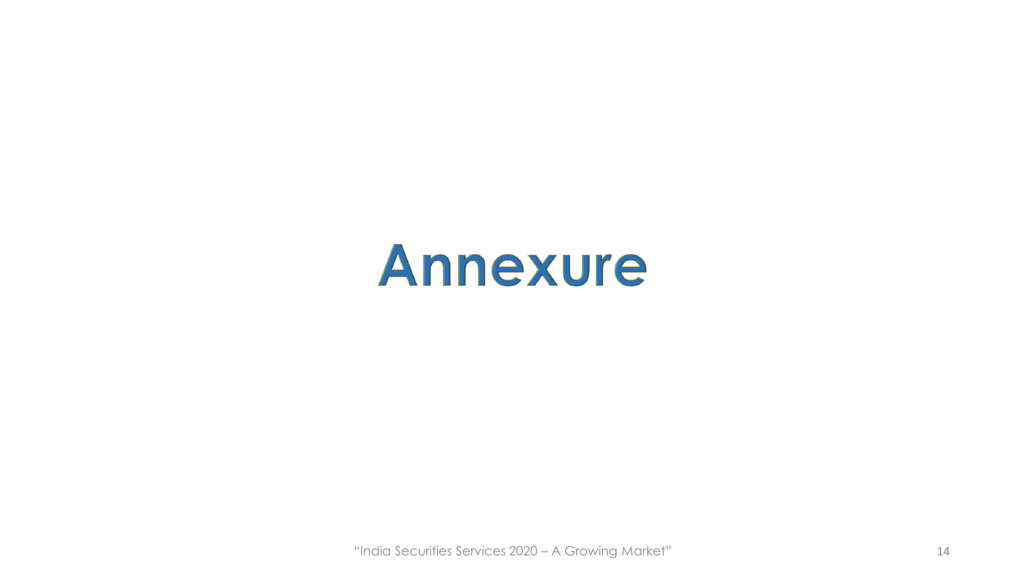# Annexure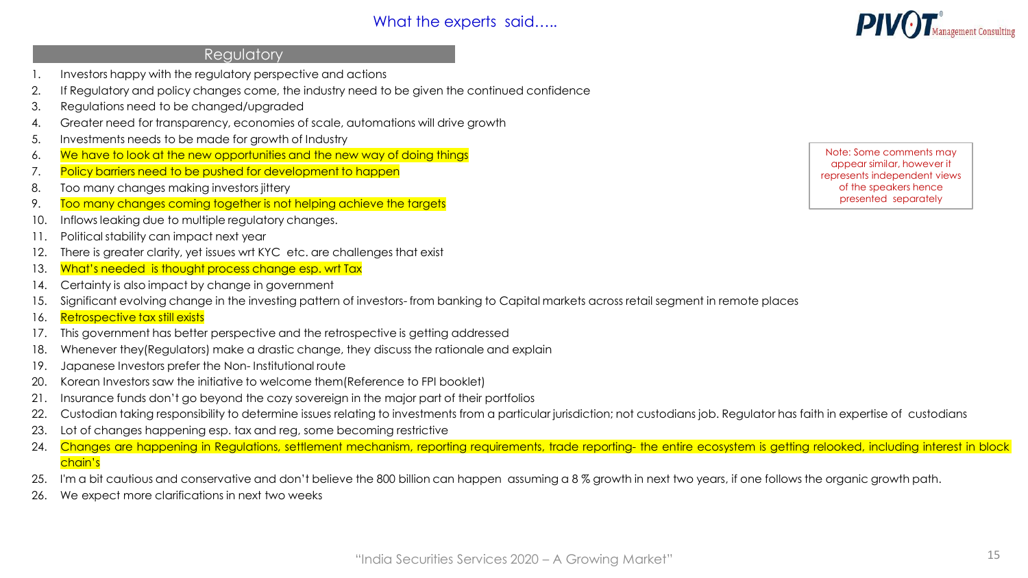### **Requlatory**

- Investors happy with the regulatory perspective and actions
- 2. If Regulatory and policy changes come, the industry need to be given the continued confidence
- 3. Regulations need to be changed/upgraded
- 4. Greater need for transparency, economies of scale, automations will drive growth
- 5. Investments needs to be made for growth of Industry
- 6. We have to look at the new opportunities and the new way of doing things
- 7. Policy barriers need to be pushed for development to happen
- 8. Too many changes making investors jittery
- 9. Too many changes coming together is not helping achieve the targets
- 10. Inflows leaking due to multiple regulatory changes.
- 11. Political stability can impact next year
- 12. There is greater clarity, yet issues wrt KYC etc. are challenges that exist
- 13. What's needed is thought process change esp. wrt Tax
- 14. Certainty is also impact by change in government
- 15. Significant evolving change in the investing pattern of investors- from banking to Capital markets across retail segment in remote places
- 16. Retrospective tax still exists
- 17. This government has better perspective and the retrospective is getting addressed
- 18. Whenever they(Regulators) make a drastic change, they discuss the rationale and explain
- 19. Japanese Investors prefer the Non- Institutional route
- 20. Korean Investors saw the initiative to welcome them(Reference to FPI booklet)
- 21. Insurance funds don't go beyond the cozy sovereign in the major part of their portfolios
- 22. Custodian taking responsibility to determine issues relating to investments from a particular jurisdiction; not custodians job. Regulator has faith in expertise of custodians
- 23. Lot of changes happening esp. tax and reg, some becoming restrictive
- 24. Changes are happening in Regulations, settlement mechanism, reporting requirements, trade reporting- the entire ecosystem is getting relooked, including interest in block chain's
- 25. I'm a bit cautious and conservative and don't believe the 800 billion can happen assuming a 8 % growth in next two years, if one follows the organic growth path.
- 26. We expect more clarifications in next two weeks

Note: Some comments may appear similar, however it represents independent views of the speakers hence presented separately

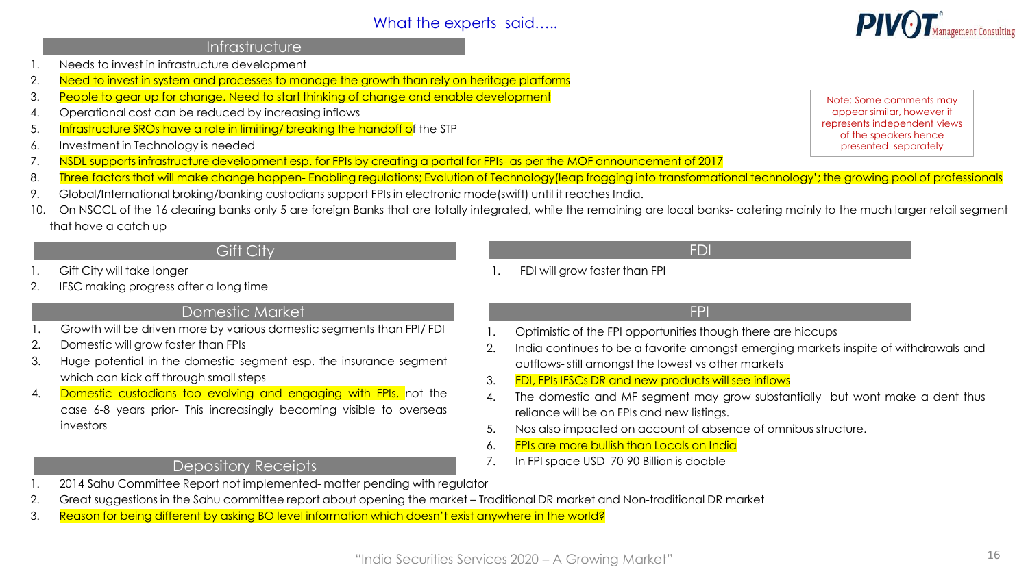### **Infrastructure**

- 1. Needs to invest in infrastructure development
- 2. Need to invest in system and processes to manage the growth than rely on heritage platforms
- 3. People to gear up for change. Need to start thinking of change and enable development
- 4. Operational cost can be reduced by increasing inflows
- 5. Infrastructure SROs have a role in limiting/ breaking the handoff of the STP
- 6. Investment in Technology is needed
- 7. NSDL supports infrastructure development esp. for FPIs by creating a portal for FPIs- as per the MOF announcement of 2017
- 8. Three factors that will make change happen-Enabling regulations; Evolution of Technology(leap frogging into transformational technology'; the growing pool of professionals
- 9. Global/International broking/banking custodians support FPIs in electronic mode(swift) until it reaches India.
- 10. On NSCCL of the 16 clearing banks only 5 are foreign Banks that are totally integrated, while the remaining are local banks- catering mainly to the much larger retail segment that have a catch up

# Gift City FDI

- Gift City will take longer
- 2. IFSC making progress after a long time

## Domestic Market

- 1. Growth will be driven more by various domestic segments than FPI/ FDI
- 2. Domestic will grow faster than FPIs
- 3. Huge potential in the domestic segment esp. the insurance segment which can kick off through small steps
- 4. Domestic custodians too evolving and engaging with FPIs, not the case 6-8 years prior- This increasingly becoming visible to overseas investors

## Depository Receipts

- 2014 Sahu Committee Report not implemented- matter pending with regulator
- 2. Great suggestions in the Sahu committee report about opening the market Traditional DR market and Non-traditional DR market
- 3. Reason for being different by asking BO level information which doesn't exist anywhere in the world?

## FDI will grow faster than FPI

1. Optimistic of the FPI opportunities though there are hiccups

FPI

- 2. India continues to be a favorite amongst emerging markets inspite of withdrawals and outflows- still amongst the lowest vs other markets
- 3. FDI, FPIs IFSCs DR and new products will see inflows
- 4. The domestic and MF segment may grow substantially but wont make a dent thus reliance will be on FPIs and new listings.
- 5. Nos also impacted on account of absence of omnibus structure.
- 6. FPIs are more bullish than Locals on India
- 7. In FPI space USD 70-90 Billion is doable

appear similar, however it represents independent views of the speakers hence presented separately

Note: Some comments may